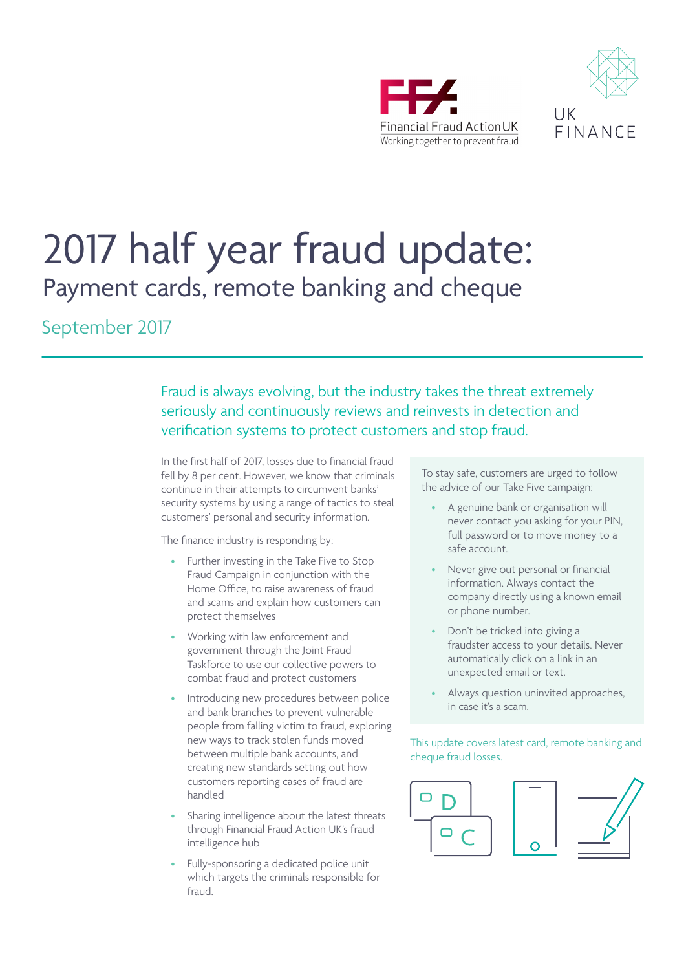



# 2017 half year fraud update: Payment cards, remote banking and cheque

September 2017

Fraud is always evolving, but the industry takes the threat extremely seriously and continuously reviews and reinvests in detection and verification systems to protect customers and stop fraud.

In the first half of 2017, losses due to financial fraud fell by 8 per cent. However, we know that criminals continue in their attempts to circumvent banks' security systems by using a range of tactics to steal customers' personal and security information.

The finance industry is responding by:

- Further investing in the Take Five to Stop Fraud Campaign in conjunction with the Home Office, to raise awareness of fraud and scams and explain how customers can protect themselves
- Working with law enforcement and government through the Joint Fraud Taskforce to use our collective powers to combat fraud and protect customers
- Introducing new procedures between police and bank branches to prevent vulnerable people from falling victim to fraud, exploring new ways to track stolen funds moved between multiple bank accounts, and creating new standards setting out how customers reporting cases of fraud are handled
- Sharing intelligence about the latest threats through Financial Fraud Action UK's fraud intelligence hub
- Fully-sponsoring a dedicated police unit which targets the criminals responsible for fraud.

To stay safe, customers are urged to follow the advice of our Take Five campaign:

- A genuine bank or organisation will never contact you asking for your PIN, full password or to move money to a safe account.
- Never give out personal or financial information. Always contact the company directly using a known email or phone number.
- Don't be tricked into giving a fraudster access to your details. Never automatically click on a link in an unexpected email or text.
- Always question uninvited approaches, in case it's a scam.

#### This update covers latest card, remote banking and cheque fraud losses.

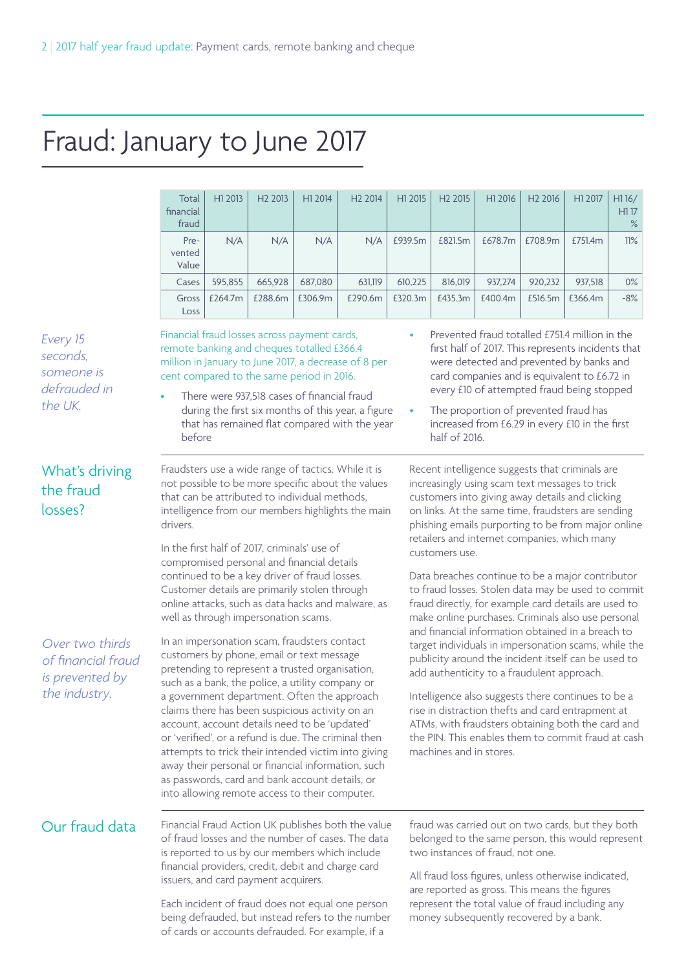## Fraud: January to June 2017

|                                                               | Total<br>financial<br>fraud | H1 2013 | H <sub>2</sub> 2013                                                                                                                                                                                                                                  | H1 2014 | H <sub>2</sub> 2014                                                                                                                                               | H1 2015   | H <sub>2</sub> 2015     | H <sub>1</sub> 2016                                                                                                                                                                                                                                                                                                                       | H <sub>2</sub> 2016 | H1 2017 | H116/<br>H117<br>$\%$ |
|---------------------------------------------------------------|-----------------------------|---------|------------------------------------------------------------------------------------------------------------------------------------------------------------------------------------------------------------------------------------------------------|---------|-------------------------------------------------------------------------------------------------------------------------------------------------------------------|-----------|-------------------------|-------------------------------------------------------------------------------------------------------------------------------------------------------------------------------------------------------------------------------------------------------------------------------------------------------------------------------------------|---------------------|---------|-----------------------|
|                                                               | Pre-<br>vented<br>Value     | N/A     | N/A                                                                                                                                                                                                                                                  | N/A     | N/A                                                                                                                                                               | £939.5m   | £821.5m                 | £678.7m                                                                                                                                                                                                                                                                                                                                   | £708.9m             | £751.4m | 11%                   |
|                                                               | Cases                       | 595,855 | 665,928                                                                                                                                                                                                                                              | 687,080 | 631,119                                                                                                                                                           | 610,225   | 816,019                 | 937,274                                                                                                                                                                                                                                                                                                                                   | 920,232             | 937,518 | $0\%$                 |
|                                                               | Gross<br>Loss               | £264.7m | £288.6m                                                                                                                                                                                                                                              | £306.9m | £290.6m                                                                                                                                                           | £320.3m   | £435.3m                 | £400.4m                                                                                                                                                                                                                                                                                                                                   | £516.5m             | £366.4m | -8%                   |
| Every 15<br>seconds,<br>someone is<br>defrauded in<br>the UK. | before                      |         | Financial fraud losses across payment cards,<br>remote banking and cheques totalled £366.4<br>cent compared to the same period in 2016.<br>There were 937,518 cases of financial fraud                                                               |         | million in January to June 2017, a decrease of 8 per<br>during the first six months of this year, a figure<br>that has remained flat compared with the year       | $\bullet$ | half of 2016.           | Prevented fraud totalled £751.4 million in the<br>first half of 2017. This represents incidents that<br>were detected and prevented by banks and<br>card companies and is equivalent to £6.72 in<br>every £10 of attempted fraud being stopped<br>The proportion of prevented fraud has<br>increased from £6.29 in every £10 in the first |                     |         |                       |
| What's driving<br>the fraud<br>losses?                        | drivers.                    |         | that can be attributed to individual methods,                                                                                                                                                                                                        |         | Fraudsters use a wide range of tactics. While it is<br>not possible to be more specific about the values<br>intelligence from our members highlights the main     |           |                         | Recent intelligence suggests that criminals are<br>increasingly using scam text messages to trick<br>customers into giving away details and clicking<br>on links. At the same time, fraudsters are sending<br>phishing emails purporting to be from major online                                                                          |                     |         |                       |
|                                                               |                             |         | In the first half of 2017, criminals' use of<br>compromised personal and financial details<br>continued to be a key driver of fraud losses.<br>Customer details are primarily stolen through<br>well as through impersonation scams.                 |         | online attacks, such as data hacks and malware, as                                                                                                                |           | customers use.          | retailers and internet companies, which many<br>Data breaches continue to be a major contributor<br>to fraud losses. Stolen data may be used to commit<br>fraud directly, for example card details are used to<br>make online purchases. Criminals also use personal<br>and financial information obtained in a breach to                 |                     |         |                       |
| Over two thirds<br>of financial fraud<br>is prevented by      |                             |         | In an impersonation scam, fraudsters contact<br>customers by phone, email or text message<br>pretending to represent a trusted organisation,<br>such as a bank, the police, a utility company or                                                     |         |                                                                                                                                                                   |           |                         | target individuals in impersonation scams, while the<br>publicity around the incident itself can be used to<br>add authenticity to a fraudulent approach.                                                                                                                                                                                 |                     |         |                       |
| the industry.                                                 |                             |         | a government department. Often the approach<br>claims there has been suspicious activity on an<br>account, account details need to be 'updated'<br>as passwords, card and bank account details, or<br>into allowing remote access to their computer. |         | or 'verified', or a refund is due. The criminal then<br>attempts to trick their intended victim into giving<br>away their personal or financial information, such |           | machines and in stores. | Intelligence also suggests there continues to be a<br>rise in distraction thefts and card entrapment at<br>ATMs, with fraudsters obtaining both the card and<br>the PIN. This enables them to commit fraud at cash                                                                                                                        |                     |         |                       |
| Our fraud data                                                |                             |         |                                                                                                                                                                                                                                                      |         | Financial Fraud Action UK publishes both the value<br>of fraud losses and the number of cases. The data<br>is reported to us by our members which include         |           |                         | fraud was carried out on two cards, but they both<br>belonged to the same person, this would represent<br>two instances of fraud, not one.                                                                                                                                                                                                |                     |         |                       |
|                                                               |                             |         | financial providers, credit, debit and charge card<br>issuers, and card payment acquirers.                                                                                                                                                           |         | Each incident of fraud does not equal one person<br>being defrauded, but instead refers to the number                                                             |           |                         | All fraud loss figures, unless otherwise indicated,<br>are reported as gross. This means the figures<br>represent the total value of fraud including any<br>money subsequently recovered by a bank.                                                                                                                                       |                     |         |                       |

of cards or accounts defrauded. For example, if a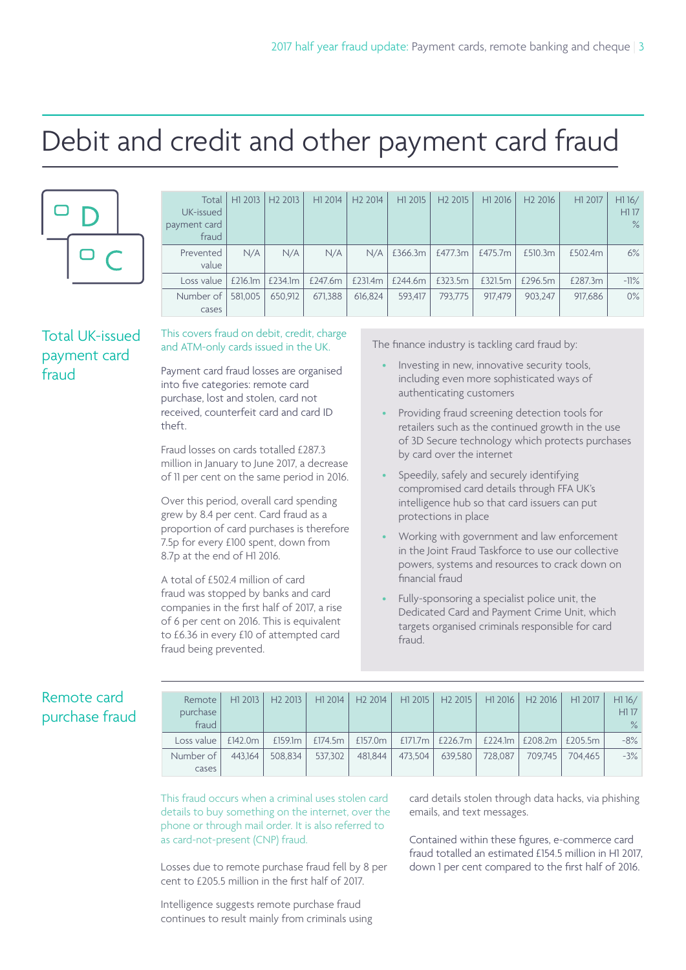## Debit and credit and other payment card fraud



| Total<br>UK-issued<br>payment card<br>fraud | H1 2013 | H <sub>2</sub> 2013 | H1 2014 | H <sub>2</sub> 2014 | H1 2015 | H <sub>2</sub> 2015 | H1 2016 | H <sub>2</sub> 2016 | H1 2017 | H116/<br>H117<br>$\%$ |
|---------------------------------------------|---------|---------------------|---------|---------------------|---------|---------------------|---------|---------------------|---------|-----------------------|
| Prevented<br>value                          | N/A     | N/A                 | N/A     | N/A                 | £366.3m | £477.3m             | £475.7m | £510.3m             | £502.4m | 6%                    |
| Loss value                                  | £216.1m | £234.1m             | £247.6m | £231.4m             | £244.6m | £323.5m             | £321.5m | £296.5m             | £287.3m | $-11\%$               |
| Number of<br>cases                          | 581,005 | 650.912             | 671.388 | 616.824             | 593.417 | 793.775             | 917.479 | 903.247             | 917.686 | $0\%$                 |

#### Total UK-issued payment card fraud

#### This covers fraud on debit, credit, charge and ATM-only cards issued in the UK.

Payment card fraud losses are organised into five categories: remote card purchase, lost and stolen, card not received, counterfeit card and card ID theft.

Fraud losses on cards totalled £287.3 million in January to June 2017, a decrease of 11 per cent on the same period in 2016.

Over this period, overall card spending grew by 8.4 per cent. Card fraud as a proportion of card purchases is therefore 7.5p for every £100 spent, down from 8.7p at the end of H1 2016.

A total of £502.4 million of card fraud was stopped by banks and card companies in the first half of 2017, a rise of 6 per cent on 2016. This is equivalent to £6.36 in every £10 of attempted card fraud being prevented.

The finance industry is tackling card fraud by:

- Investing in new, innovative security tools, including even more sophisticated ways of authenticating customers
- Providing fraud screening detection tools for retailers such as the continued growth in the use of 3D Secure technology which protects purchases by card over the internet
- Speedily, safely and securely identifying compromised card details through FFA UK's intelligence hub so that card issuers can put protections in place
- Working with government and law enforcement in the Joint Fraud Taskforce to use our collective powers, systems and resources to crack down on financial fraud
- Fully-sponsoring a specialist police unit, the Dedicated Card and Payment Crime Unit, which targets organised criminals responsible for card fraud.

#### Remote card purchase fraud

| Remote<br>purchase<br>fraud | H1 2013 | H <sub>2</sub> 2013 | H1 2014    | H22014  |         | H1 2015 H2 2015   | H12016  | H <sub>2</sub> 2016         | H1 2017 | H116/<br>H117<br>$\%$ |
|-----------------------------|---------|---------------------|------------|---------|---------|-------------------|---------|-----------------------------|---------|-----------------------|
| Loss value                  | £142.0m | £159.1m             | £174.5 $m$ | £157.0m |         | £171.7m   £226.7m |         | £224.1m   £208.2m   £205.5m |         | $-8%$                 |
| Number of 1                 | 443.164 | 508.834             | 537.302    | 481.844 | 473.504 | 639.580           | 728.087 | 709.745                     | 704.465 | $-3%$                 |
| cases                       |         |                     |            |         |         |                   |         |                             |         |                       |

This fraud occurs when a criminal uses stolen card details to buy something on the internet, over the phone or through mail order. It is also referred to as card-not-present (CNP) fraud.

Losses due to remote purchase fraud fell by 8 per cent to £205.5 million in the first half of 2017.

Intelligence suggests remote purchase fraud continues to result mainly from criminals using card details stolen through data hacks, via phishing emails, and text messages.

Contained within these figures, e-commerce card fraud totalled an estimated £154.5 million in H1 2017, down 1 per cent compared to the first half of 2016.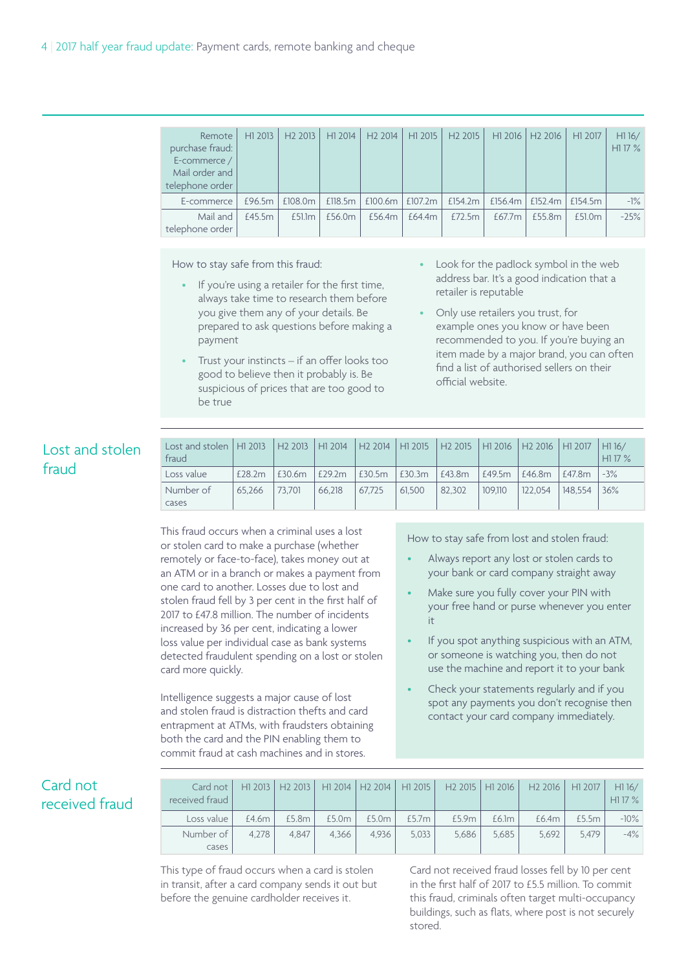| Remote<br>purchase fraud:<br>E-commerce /<br>Mail order and<br>telephone order | H <sub>1</sub> 2013 | H <sub>2</sub> 2013 | H1 2014 | H <sub>2</sub> 2014   | H1 2015 | H <sub>2</sub> 2015 | H <sub>1</sub> 2016   | H <sub>2</sub> 2016 | H1 2017 | H116/<br>H117 % |
|--------------------------------------------------------------------------------|---------------------|---------------------|---------|-----------------------|---------|---------------------|-----------------------|---------------------|---------|-----------------|
| E-commerce                                                                     | £96.5m              | £108.0m             | £118.5m | $f100.6m$   $f107.2m$ |         | £154.2m             | $f156.4m$   $f152.4m$ |                     | f154.5m | $-1\%$          |
| Mail and<br>telephone order                                                    | f455m               | f511m               | £56.0m  | £56.4m                | £64.4m  | £72.5m              | f677m                 | f 55.8m             | f510m   | $-25%$          |

How to stay safe from this fraud:

- If you're using a retailer for the first time, always take time to research them before you give them any of your details. Be prepared to ask questions before making a payment
- Trust your instincts if an offer looks too good to believe then it probably is. Be suspicious of prices that are too good to be true
- Look for the padlock symbol in the web address bar. It's a good indication that a retailer is reputable
- Only use retailers you trust, for example ones you know or have been recommended to you. If you're buying an item made by a major brand, you can often find a list of authorised sellers on their official website.

### Lost and stolen fraud

| Lost and stolen   H1 2013   H2 2013   H1 2014<br>fraud |        |        |        |        |        | H2 2014   H1 2015   H2 2015   H1 2016   H2 2016   H1 2017 |         |         |         | H116/<br>H117% |
|--------------------------------------------------------|--------|--------|--------|--------|--------|-----------------------------------------------------------|---------|---------|---------|----------------|
| Loss value                                             | £28.2m | £30.6m | £29.2m | £30.5m | £30.3m | £43.8m                                                    | E49.5m  | E46.8m  | E47.8m  | $-3%$          |
| Number of<br>cases                                     | 65.266 | 73.701 | 66.218 | 67.725 | 61.500 | 82.302                                                    | 109.110 | 122.054 | 148.554 | 36%            |

This fraud occurs when a criminal uses a lost or stolen card to make a purchase (whether remotely or face-to-face), takes money out at an ATM or in a branch or makes a payment from one card to another. Losses due to lost and stolen fraud fell by 3 per cent in the first half of 2017 to £47.8 million. The number of incidents increased by 36 per cent, indicating a lower loss value per individual case as bank systems detected fraudulent spending on a lost or stolen card more quickly.

Intelligence suggests a major cause of lost and stolen fraud is distraction thefts and card entrapment at ATMs, with fraudsters obtaining both the card and the PIN enabling them to commit fraud at cash machines and in stores.

How to stay safe from lost and stolen fraud:

- Always report any lost or stolen cards to your bank or card company straight away
- Make sure you fully cover your PIN with your free hand or purse whenever you enter it
- If you spot anything suspicious with an ATM, or someone is watching you, then do not use the machine and report it to your bank
- Check your statements regularly and if you spot any payments you don't recognise then contact your card company immediately.

#### Card not received fraud

| Card not I<br>received fraud |       |       |       |       |       |       |       | H1 2013   H2 2013   H1 2014   H2 2014   H1 2015   H2 2015   H1 2016   H2 2016   H1 2017 |       | H116/<br>H117% |
|------------------------------|-------|-------|-------|-------|-------|-------|-------|-----------------------------------------------------------------------------------------|-------|----------------|
| Loss value                   | £4.6m | £5.8m | £5.0m | £5.0m | £5.7m | £5.9m | £6.1m | £6.4m                                                                                   | £5.5m | $-10\%$        |
| Number of I                  | 4.278 | 4.847 | 4.366 | 4.936 | 5.033 | 5.686 | 5.685 | 5.692                                                                                   | 5.479 | $-4\%$         |
| cases                        |       |       |       |       |       |       |       |                                                                                         |       |                |

This type of fraud occurs when a card is stolen in transit, after a card company sends it out but before the genuine cardholder receives it.

Card not received fraud losses fell by 10 per cent in the first half of 2017 to £5.5 million. To commit this fraud, criminals often target multi-occupancy buildings, such as flats, where post is not securely stored.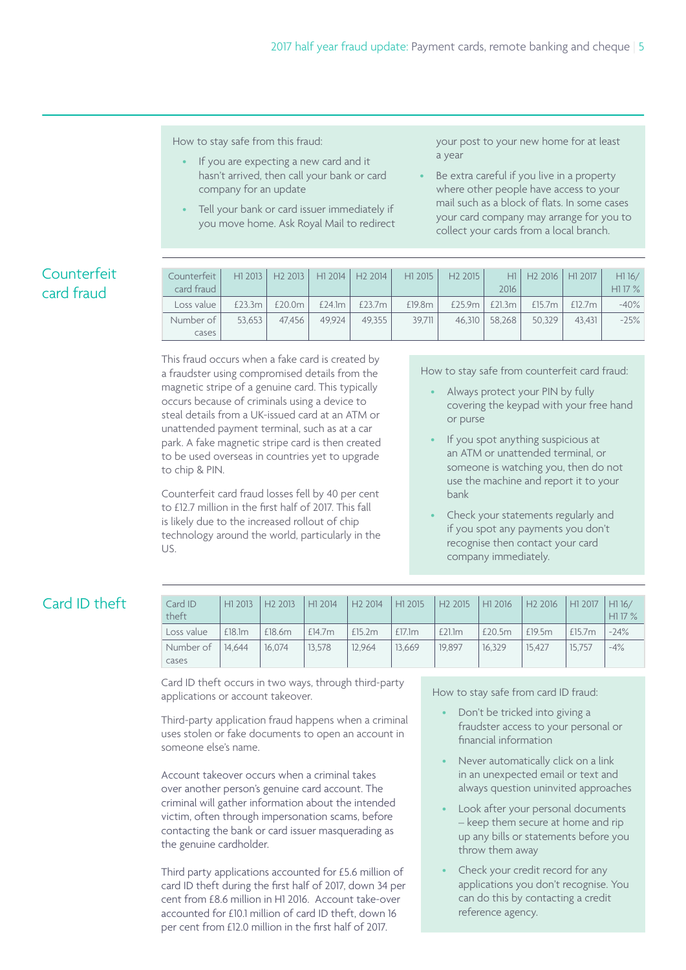How to stay safe from this fraud:

- If you are expecting a new card and it hasn't arrived, then call your bank or card company for an update
- Tell your bank or card issuer immediately if you move home. Ask Royal Mail to redirect

your post to your new home for at least a year

Be extra careful if you live in a property where other people have access to your mail such as a block of flats. In some cases your card company may arrange for you to collect your cards from a local branch.

### Counterfeit card fraud

| Counterfeit | H1 2013 | H <sub>2</sub> 2013 H <sub>1</sub> 2014 H <sub>2</sub> 2014 L |        |           | H <sub>1</sub> 2015 | H <sub>2</sub> 2015 |        | H1 H2 2016 H1 2017 |           | H116/  |
|-------------|---------|---------------------------------------------------------------|--------|-----------|---------------------|---------------------|--------|--------------------|-----------|--------|
| card fraud  |         |                                                               |        |           |                     |                     | 2016   |                    |           | H117%  |
| Loss value  | £23.3m  | £20.0m                                                        | £24.1m | £23.7 $m$ | £19.8m              | £25.9 $m$           | £21.3m | £15.7m             | £12.7 $m$ | $-40%$ |
| Number of I | 53.653  | 47.456                                                        | 49.924 | 49.355    | 39.711              | 46.310              | 58.268 | 50.329             | 43.431    | $-25%$ |
| cases       |         |                                                               |        |           |                     |                     |        |                    |           |        |

This fraud occurs when a fake card is created by a fraudster using compromised details from the magnetic stripe of a genuine card. This typically occurs because of criminals using a device to steal details from a UK-issued card at an ATM or unattended payment terminal, such as at a car park. A fake magnetic stripe card is then created to be used overseas in countries yet to upgrade to chip & PIN.

Counterfeit card fraud losses fell by 40 per cent to £12.7 million in the first half of 2017. This fall is likely due to the increased rollout of chip technology around the world, particularly in the US.

How to stay safe from counterfeit card fraud:

- Always protect your PIN by fully covering the keypad with your free hand or purse
- If you spot anything suspicious at an ATM or unattended terminal, or someone is watching you, then do not use the machine and report it to your bank
- Check your statements regularly and if you spot any payments you don't recognise then contact your card company immediately.

#### Card ID theft

| Card ID<br>theft          |        | H1 2013   H2 2013   H1 2014 |        | H2 2014 |        | $ $ H1 2015 $ $ H2 2015 $ $ H1 2016 $ $ H2 2016 $ $ H1 2017 $ $ H1 16/ |        |        |           | H1 17 % |
|---------------------------|--------|-----------------------------|--------|---------|--------|------------------------------------------------------------------------|--------|--------|-----------|---------|
| Loss value                | £18.1m | £18.6m                      | E14.7m | £15.2m  | £17.1m | £21.1m                                                                 | £20.5m | £19.5m | £15.7 $m$ | $-24%$  |
| Number of 14.644<br>cases |        | 16.074                      | 13.578 | 12.964  | 13.669 | 19.897                                                                 | 16.329 | 15.427 | 15.757    | $-4%$   |

Card ID theft occurs in two ways, through third-party applications or account takeover.

Third-party application fraud happens when a criminal uses stolen or fake documents to open an account in someone else's name.

Account takeover occurs when a criminal takes over another person's genuine card account. The criminal will gather information about the intended victim, often through impersonation scams, before contacting the bank or card issuer masquerading as the genuine cardholder.

Third party applications accounted for £5.6 million of card ID theft during the first half of 2017, down 34 per cent from £8.6 million in H1 2016. Account take-over accounted for £10.1 million of card ID theft, down 16 per cent from £12.0 million in the first half of 2017.

How to stay safe from card ID fraud:

- Don't be tricked into giving a fraudster access to your personal or financial information
- Never automatically click on a link in an unexpected email or text and always question uninvited approaches
- Look after your personal documents – keep them secure at home and rip up any bills or statements before you throw them away
- Check your credit record for any applications you don't recognise. You can do this by contacting a credit reference agency.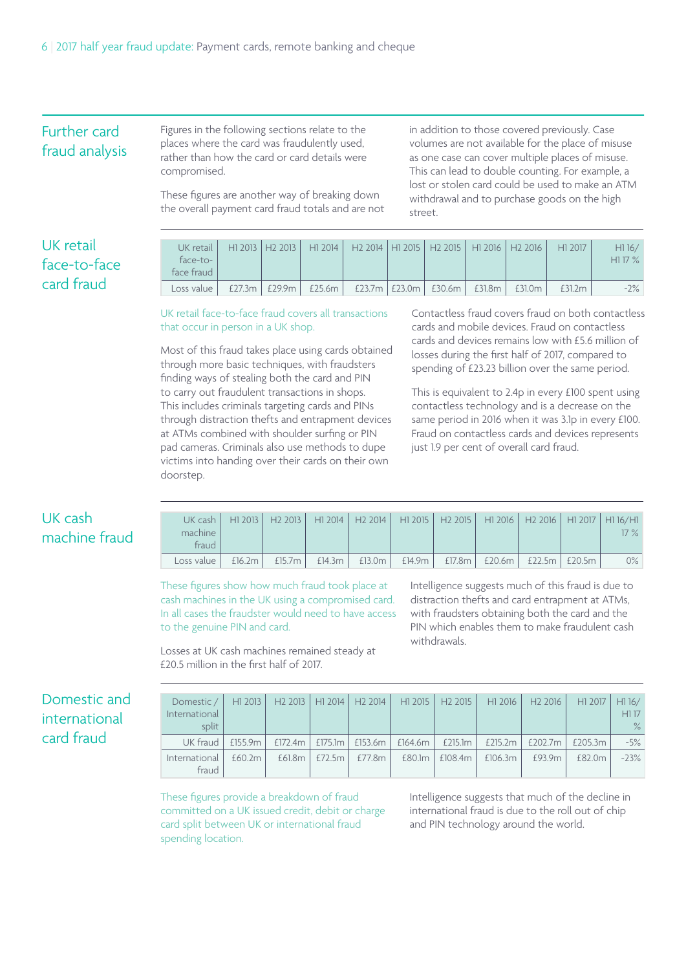#### Further card fraud analysis

Figures in the following sections relate to the places where the card was fraudulently used, rather than how the card or card details were compromised.

These figures are another way of breaking down the overall payment card fraud totals and are not in addition to those covered previously. Case volumes are not available for the place of misuse as one case can cover multiple places of misuse. This can lead to double counting. For example, a lost or stolen card could be used to make an ATM withdrawal and to purchase goods on the high street.

#### UK retail face-to-face card fraud

| UK retail I<br>face-to-<br>face fraud |  | H1 2013   H2 2013   H1 2014   H2 2014   H1 2015   H2 2015   H1 2016   H2 2016   H1 2017 |  |  |        | H116/<br>H117% |
|---------------------------------------|--|-----------------------------------------------------------------------------------------|--|--|--------|----------------|
| Loss value                            |  | £27.3m   £29.9m   £25.6m   £23.7m   £23.0m   £30.6m   £31.8m   £31.0m                   |  |  | £31.2m | $-2\%$         |

UK retail face-to-face fraud covers all transactions that occur in person in a UK shop.

Most of this fraud takes place using cards obtained through more basic techniques, with fraudsters finding ways of stealing both the card and PIN to carry out fraudulent transactions in shops. This includes criminals targeting cards and PINs through distraction thefts and entrapment devices at ATMs combined with shoulder surfing or PIN pad cameras. Criminals also use methods to dupe victims into handing over their cards on their own doorstep.

Contactless fraud covers fraud on both contactless cards and mobile devices. Fraud on contactless cards and devices remains low with £5.6 million of losses during the first half of 2017, compared to spending of £23.23 billion over the same period.

This is equivalent to 2.4p in every £100 spent using contactless technology and is a decrease on the same period in 2016 when it was 3.1p in every £100. Fraud on contactless cards and devices represents just 1.9 per cent of overall card fraud.

#### UK cash machine fraud

| machine<br>fraud | UK cash   H1 2013   H2 2013   H1 2014   H2 2014   H1 2015   H2 2015   H1 2016   H2 2016   H1 2017   H1 16/H1 |  |  |  | $17\%$ |
|------------------|--------------------------------------------------------------------------------------------------------------|--|--|--|--------|
| Loss value       | E16.2m   E15.7m   E14.3m   E13.0m   E14.9m   E17.8m   E20.6m   E22.5m   E20.5m                               |  |  |  | $0\%$  |

These figures show how much fraud took place at cash machines in the UK using a compromised card. In all cases the fraudster would need to have access to the genuine PIN and card.

Losses at UK cash machines remained steady at

£20.5 million in the first half of 2017.

Intelligence suggests much of this fraud is due to distraction thefts and card entrapment at ATMs, with fraudsters obtaining both the card and the PIN which enables them to make fraudulent cash withdrawals.

#### Domestic and international card fraud

| Domestic / I<br>International<br>split | $H1$ 2013  |  |                                   | H2 2013 H1 2014 H2 2014 H1 2015 H2 2015 L |           |         | H1 2016 H2 2016 | H1 2017 | H116/<br>H117<br>$\%$ |
|----------------------------------------|------------|--|-----------------------------------|-------------------------------------------|-----------|---------|-----------------|---------|-----------------------|
| UK fraud                               | £155.9 $m$ |  |                                   | £172.4m   £175.1m   £153.6m   £164.6m     | £215.1m   | £215.2m | £202.7m         | £205.3m | $-5\%$                |
| International<br>fraud                 | £60.2m     |  | $f$ 61.8m   $f$ 72.5m   $f$ 77.8m | £80.1m                                    | £108.4m l | £106.3m | £93.9m          | £82.0m  | $-23%$                |

These figures provide a breakdown of fraud committed on a UK issued credit, debit or charge card split between UK or international fraud spending location.

Intelligence suggests that much of the decline in international fraud is due to the roll out of chip and PIN technology around the world.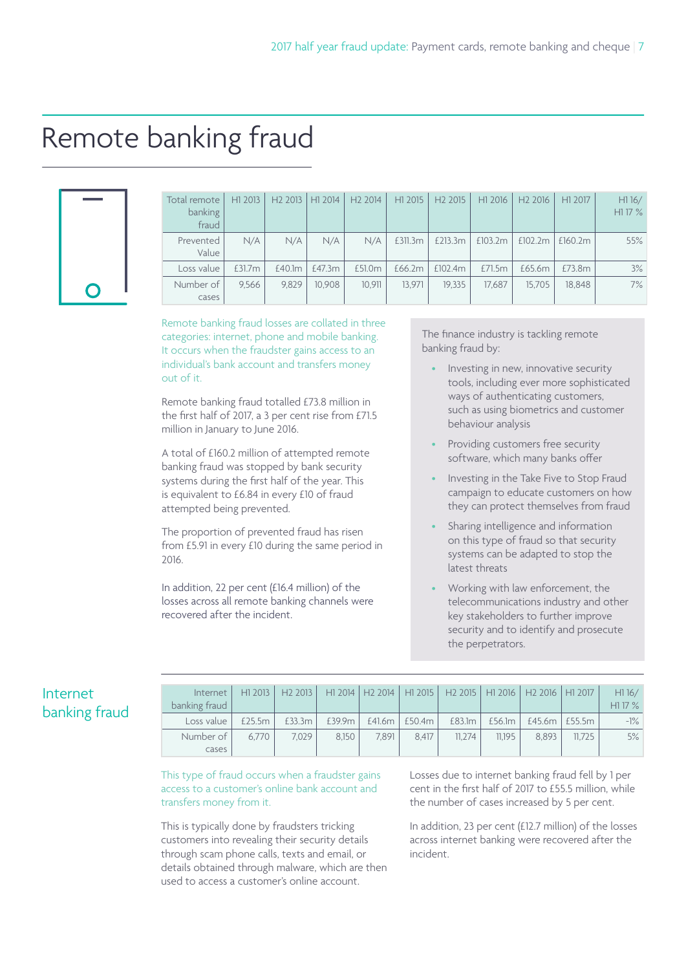### Remote banking fraud

| O |  |
|---|--|

| Total remote<br>banking<br>fraud | H1 2013 | H2 2013 | H1 2014 | H <sub>2</sub> 2014 | H1 2015 | H <sub>2</sub> 2015 | H1 2016 | H <sub>2</sub> 2016 | H1 2017 | H116/<br>H1 17 % |
|----------------------------------|---------|---------|---------|---------------------|---------|---------------------|---------|---------------------|---------|------------------|
| Prevented<br>Value               | N/A     | N/A     | N/A     | N/A                 | £311.3m | £213.3m             | £103.2m | £102.2m             | £160.2m | 55%              |
| Loss value                       | £31.7m  | £40.1m  | £47.3m  | £51.0m              | £66.2m  | £102.4m             | £71.5m  | £65.6m              | £73.8m  | 3%               |
| Number of<br>cases               | 9.566   | 9,829   | 10.908  | 10,911              | 13.971  | 19.335              | 17,687  | 15.705              | 18.848  | 7%               |

Remote banking fraud losses are collated in three categories: internet, phone and mobile banking. It occurs when the fraudster gains access to an individual's bank account and transfers money out of it.

Remote banking fraud totalled £73.8 million in the first half of 2017, a 3 per cent rise from £71.5 million in January to June 2016.

A total of £160.2 million of attempted remote banking fraud was stopped by bank security systems during the first half of the year. This is equivalent to £6.84 in every £10 of fraud attempted being prevented.

The proportion of prevented fraud has risen from £5.91 in every £10 during the same period in 2016.

In addition, 22 per cent (£16.4 million) of the losses across all remote banking channels were recovered after the incident.

The finance industry is tackling remote banking fraud by:

- Investing in new, innovative security tools, including ever more sophisticated ways of authenticating customers, such as using biometrics and customer behaviour analysis
- Providing customers free security software, which many banks offer
- Investing in the Take Five to Stop Fraud campaign to educate customers on how they can protect themselves from fraud
- Sharing intelligence and information on this type of fraud so that security systems can be adapted to stop the latest threats
- Working with law enforcement, the telecommunications industry and other key stakeholders to further improve security and to identify and prosecute the perpetrators.

| Internet      |  |
|---------------|--|
| banking fraud |  |

| Internet<br>banking fraud | H1 2013 | H2 2013 |        |       |                     | H1 2014   H2 2014   H1 2015   H2 2015   H1 2016   H2 2016   H1 2017 |        |                          |        | H116/<br>H117% |
|---------------------------|---------|---------|--------|-------|---------------------|---------------------------------------------------------------------|--------|--------------------------|--------|----------------|
| Loss value                | £25.5m  | £33.3m  | £39.9m |       | $f41.6m$   $f50.4m$ | £83.1m                                                              | £56.1m | $£45.6m$ $\mid$ $£55.5m$ |        | $-1\%$         |
| Number of I               | 6.770   | 7.029   | 8.150  | 7.891 | 8.417               | 11.274                                                              | 11.195 | 8.893                    | 11.725 | 5%             |
| cases                     |         |         |        |       |                     |                                                                     |        |                          |        |                |

This type of fraud occurs when a fraudster gains access to a customer's online bank account and transfers money from it.

This is typically done by fraudsters tricking customers into revealing their security details through scam phone calls, texts and email, or details obtained through malware, which are then used to access a customer's online account.

Losses due to internet banking fraud fell by 1 per cent in the first half of 2017 to £55.5 million, while the number of cases increased by 5 per cent.

In addition, 23 per cent (£12.7 million) of the losses across internet banking were recovered after the incident.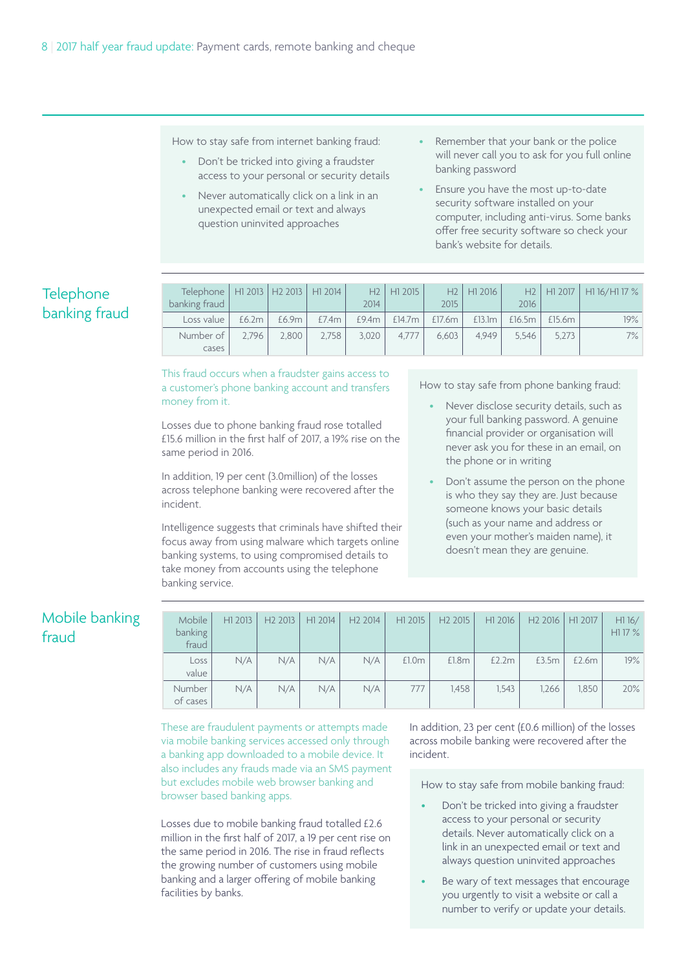How to stay safe from internet banking fraud:

- Don't be tricked into giving a fraudster access to your personal or security details
- Never automatically click on a link in an unexpected email or text and always question uninvited approaches
- Remember that your bank or the police will never call you to ask for you full online banking password
- Ensure you have the most up-to-date security software installed on your computer, including anti-virus. Some banks offer free security software so check your bank's website for details.

#### Telephone banking fraud

| Telephone   H1 2013   H2 2013   H1 2014 |       |       |       |       | $H2$   $H1$ 2015 |                | $H2$   $H1$ 2016 |        |        | $H2$   H1 2017   H1 16/H1 17 % |
|-----------------------------------------|-------|-------|-------|-------|------------------|----------------|------------------|--------|--------|--------------------------------|
| banking fraud                           |       |       |       | 2014  |                  | 2015           |                  | 2016   |        |                                |
| Loss value                              | £6.2m | £6.9m | £7.4m | £9.4m | £14.7m           | $ $ £17.6m $ $ | £13.1m           | £16.5m | £15.6m | 19%                            |
| Number of                               | 2.796 | 2.800 | 2,758 | 3,020 | 4.777            | 6.603          | 4.949            | 5.546  | 5,273  | $7\%$                          |
| cases                                   |       |       |       |       |                  |                |                  |        |        |                                |

This fraud occurs when a fraudster gains access to a customer's phone banking account and transfers money from it.

Losses due to phone banking fraud rose totalled £15.6 million in the first half of 2017, a 19% rise on the same period in 2016.

In addition, 19 per cent (3.0million) of the losses across telephone banking were recovered after the incident.

Intelligence suggests that criminals have shifted their focus away from using malware which targets online banking systems, to using compromised details to take money from accounts using the telephone banking service.

How to stay safe from phone banking fraud:

- Never disclose security details, such as your full banking password. A genuine financial provider or organisation will never ask you for these in an email, on the phone or in writing
- Don't assume the person on the phone is who they say they are. Just because someone knows your basic details (such as your name and address or even your mother's maiden name), it doesn't mean they are genuine.

#### Mobile banking fraud

| Mobile<br>banking<br>fraud | H1 2013 | H <sub>2</sub> 2013 | H1 2014 | H <sub>2</sub> 2014 | H1 2015 | H <sub>2</sub> 2015 | H1 2016 | H <sub>2</sub> 2016 | H1 2017 | H116/<br>H1 17 % |
|----------------------------|---------|---------------------|---------|---------------------|---------|---------------------|---------|---------------------|---------|------------------|
| Loss<br>value              | N/A     | N/A                 | N/A     | N/A                 | £1.0m   | £1.8m               | £2.2m   | £3.5m               | £2.6m   | 19%              |
| Number<br>of cases         | N/A     | N/A                 | N/A     | N/A                 | 777     | 1.458               | 1.543   | 1.266               | 1.850   | 20%              |

These are fraudulent payments or attempts made via mobile banking services accessed only through a banking app downloaded to a mobile device. It also includes any frauds made via an SMS payment but excludes mobile web browser banking and browser based banking apps.

Losses due to mobile banking fraud totalled £2.6 million in the first half of 2017, a 19 per cent rise on the same period in 2016. The rise in fraud reflects the growing number of customers using mobile banking and a larger offering of mobile banking facilities by banks.

In addition, 23 per cent (£0.6 million) of the losses across mobile banking were recovered after the incident.

How to stay safe from mobile banking fraud:

- Don't be tricked into giving a fraudster access to your personal or security details. Never automatically click on a link in an unexpected email or text and always question uninvited approaches
- Be wary of text messages that encourage you urgently to visit a website or call a number to verify or update your details.